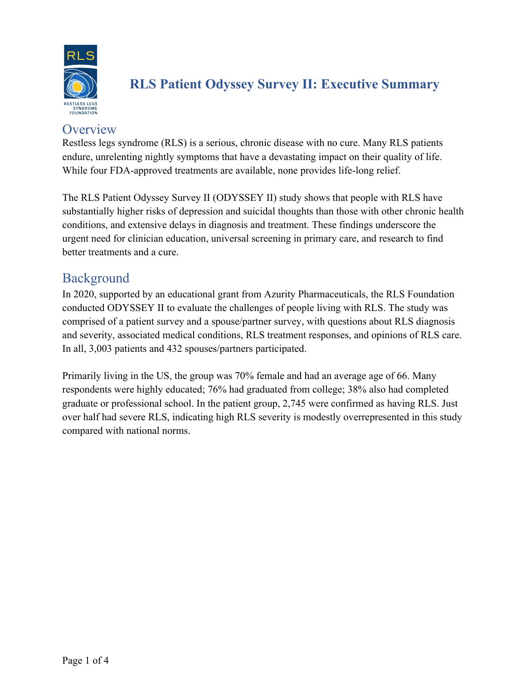

# **RLS Patient Odyssey Survey II: Executive Summary**

### **Overview**

Restless legs syndrome (RLS) is a serious, chronic disease with no cure. Many RLS patients endure, unrelenting nightly symptoms that have a devastating impact on their quality of life. While four FDA-approved treatments are available, none provides life-long relief.

The RLS Patient Odyssey Survey II (ODYSSEY II) study shows that people with RLS have substantially higher risks of depression and suicidal thoughts than those with other chronic health conditions, and extensive delays in diagnosis and treatment. These findings underscore the urgent need for clinician education, universal screening in primary care, and research to find better treatments and a cure.

### Background

In 2020, supported by an educational grant from Azurity Pharmaceuticals, the RLS Foundation conducted ODYSSEY II to evaluate the challenges of people living with RLS. The study was comprised of a patient survey and a spouse/partner survey, with questions about RLS diagnosis and severity, associated medical conditions, RLS treatment responses, and opinions of RLS care. In all, 3,003 patients and 432 spouses/partners participated.

Primarily living in the US, the group was 70% female and had an average age of 66. Many respondents were highly educated; 76% had graduated from college; 38% also had completed graduate or professional school. In the patient group, 2,745 were confirmed as having RLS. Just over half had severe RLS, indicating high RLS severity is modestly overrepresented in this study compared with national norms.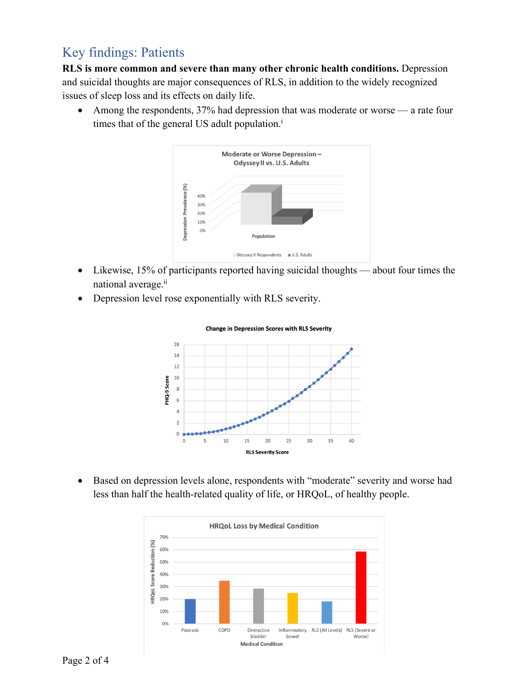### Key findings: Patients

**RLS is more common and severe than many other chronic health conditions.** Depression and suicidal thoughts are major consequences of RLS, in addition to the widely recognized issues of sleep loss and its effects on daily life.

• Among the respondents, 37% had depression that was moderate or worse — a rate four times that of the general US adult population.<sup>i</sup>



- Likewise, 15% of participants reported having suicidal thoughts about four times the national average.<sup>ii</sup>
- Depression level rose exponentially with RLS severity.



#### **Change in Depression Scores with RLS Severity**

• Based on depression levels alone, respondents with "moderate" severity and worse had less than half the health-related quality of life, or HRQoL, of healthy people.

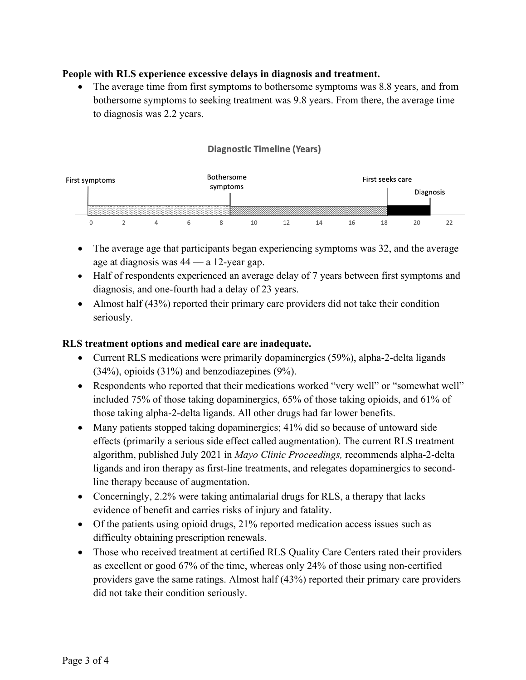### **People with RLS experience excessive delays in diagnosis and treatment.**

The average time from first symptoms to bothersome symptoms was 8.8 years, and from bothersome symptoms to seeking treatment was 9.8 years. From there, the average time to diagnosis was 2.2 years.

#### **Diagnostic Timeline (Years)**



- The average age that participants began experiencing symptoms was 32, and the average age at diagnosis was 44 — a 12-year gap.
- Half of respondents experienced an average delay of 7 years between first symptoms and diagnosis, and one-fourth had a delay of 23 years.
- Almost half (43%) reported their primary care providers did not take their condition seriously.

#### **RLS treatment options and medical care are inadequate.**

- Current RLS medications were primarily dopaminergics (59%), alpha-2-delta ligands (34%), opioids (31%) and benzodiazepines (9%).
- Respondents who reported that their medications worked "very well" or "somewhat well" included 75% of those taking dopaminergics, 65% of those taking opioids, and 61% of those taking alpha-2-delta ligands. All other drugs had far lower benefits.
- Many patients stopped taking dopaminergics; 41% did so because of untoward side effects (primarily a serious side effect called augmentation). The current RLS treatment algorithm, published July 2021 in *Mayo Clinic Proceedings,* recommends alpha-2-delta ligands and iron therapy as first-line treatments, and relegates dopaminergics to secondline therapy because of augmentation.
- Concerningly, 2.2% were taking antimalarial drugs for RLS, a therapy that lacks evidence of benefit and carries risks of injury and fatality.
- Of the patients using opioid drugs, 21% reported medication access issues such as difficulty obtaining prescription renewals.
- Those who received treatment at certified RLS Quality Care Centers rated their providers as excellent or good 67% of the time, whereas only 24% of those using non-certified providers gave the same ratings. Almost half (43%) reported their primary care providers did not take their condition seriously.